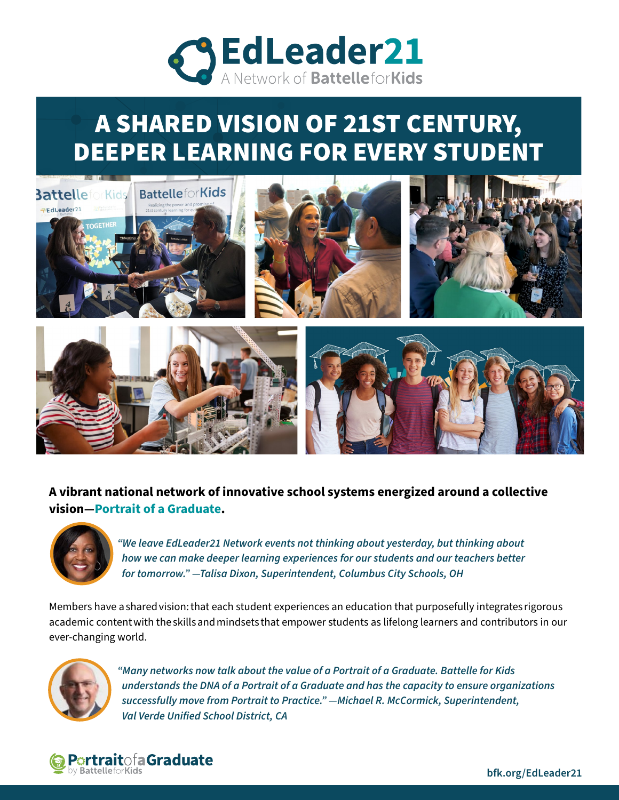

# A SHARED VISION OF 21ST CENTURY, DEEPER LEARNING FOR EVERY STUDENT



### **A vibrant national network of innovative school systems energized around a collective vision—Portrait of a Graduate.**



*"We leave EdLeader21 Network events not thinking about yesterday, but thinking about how we can make deeper learning experiences for our students and our teachers better for tomorrow." —Talisa Dixon, Superintendent, Columbus City Schools, OH* 

Members have a shared vision: that each student experiences an education that purposefully integrates rigorous academic content with the skills and mindsets that empower students as lifelong learners and contributors in our ever-changing world.



*"Many networks now talk about the value of a Portrait of a Graduate. Battelle for Kids understands the DNA of a Portrait of a Graduate and has the capacity to ensure organizations successfully move from Portrait to Practice." —Michael R. McCormick, Superintendent, Val Verde Unified School District, CA*